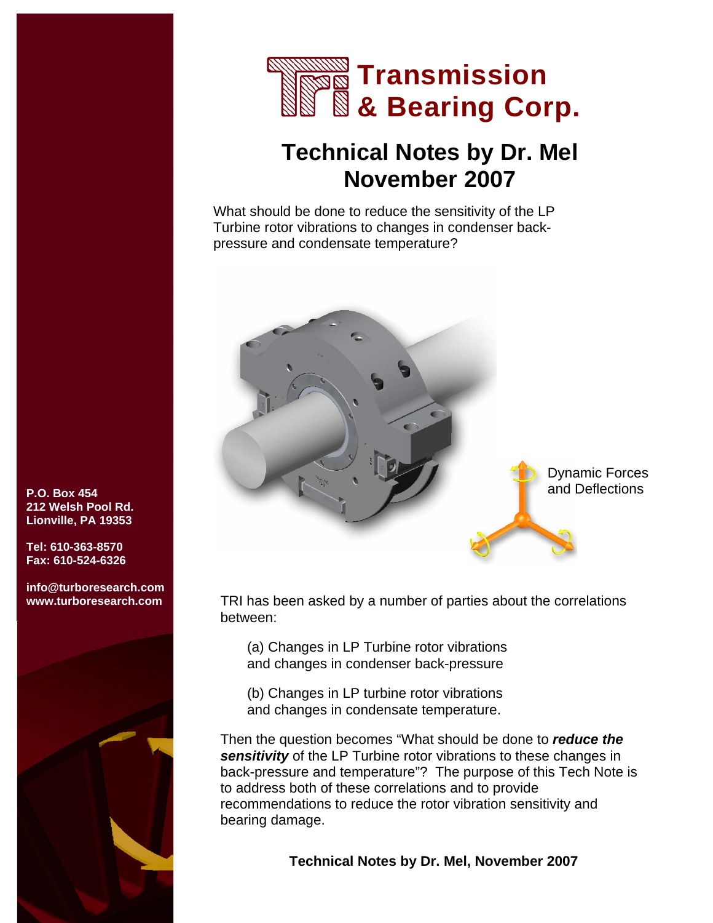

## **Technical Notes by Dr. Mel November 2007**

What should be done to reduce the sensitivity of the LP Turbine rotor vibrations to changes in condenser backpressure and condensate temperature?



TRI has been asked by a number of parties about the correlations between:

(a) Changes in LP Turbine rotor vibrations and changes in condenser back-pressure

(b) Changes in LP turbine rotor vibrations and changes in condensate temperature.

Then the question becomes "What should be done to *reduce the sensitivity* of the LP Turbine rotor vibrations to these changes in back-pressure and temperature"? The purpose of this Tech Note is to address both of these correlations and to provide recommendations to reduce the rotor vibration sensitivity and bearing damage.

 **Technical Notes by Dr. Mel, November 2007** 

**P.O. Box 454 212 Welsh Pool Rd. Lionville, PA 19353** 

**Tel: 610-363-8570 Fax: 610-524-6326** 

**info@turboresearch.com www.turboresearch.com** 

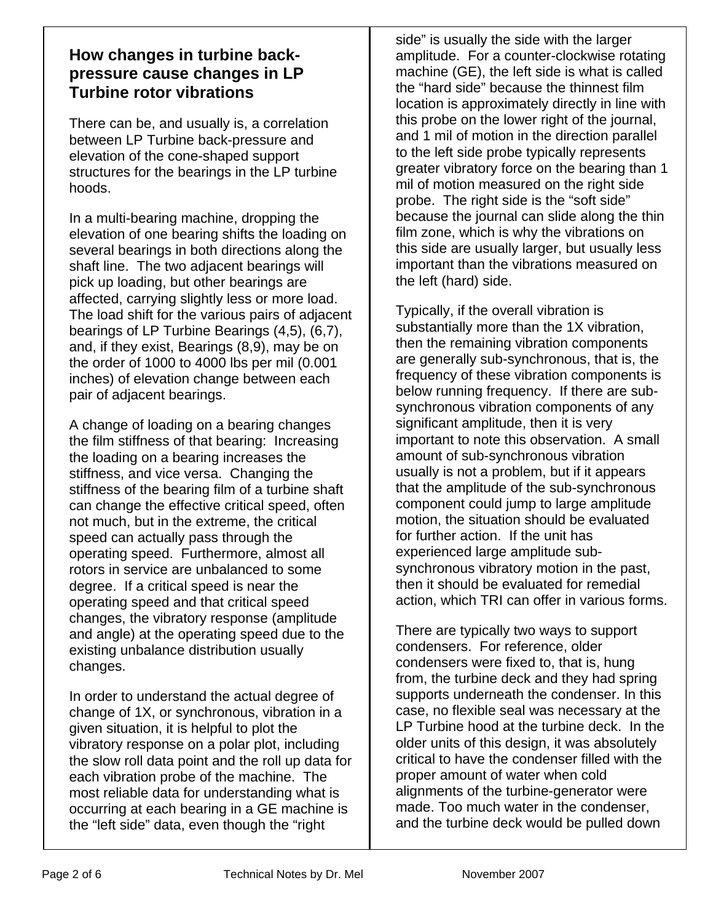## **How changes in turbine backpressure cause changes in LP Turbine rotor vibrations**

There can be, and usually is, a correlation between LP Turbine back-pressure and elevation of the cone-shaped support structures for the bearings in the LP turbine hoods.

In a multi-bearing machine, dropping the elevation of one bearing shifts the loading on several bearings in both directions along the shaft line. The two adjacent bearings will pick up loading, but other bearings are affected, carrying slightly less or more load. The load shift for the various pairs of adjacent bearings of LP Turbine Bearings (4,5), (6,7), and, if they exist, Bearings (8,9), may be on the order of 1000 to 4000 lbs per mil (0.001 inches) of elevation change between each pair of adjacent bearings.

A change of loading on a bearing changes the film stiffness of that bearing: Increasing the loading on a bearing increases the stiffness, and vice versa. Changing the stiffness of the bearing film of a turbine shaft can change the effective critical speed, often not much, but in the extreme, the critical speed can actually pass through the operating speed. Furthermore, almost all rotors in service are unbalanced to some degree. If a critical speed is near the operating speed and that critical speed changes, the vibratory response (amplitude and angle) at the operating speed due to the existing unbalance distribution usually changes.

In order to understand the actual degree of change of 1X, or synchronous, vibration in a given situation, it is helpful to plot the vibratory response on a polar plot, including the slow roll data point and the roll up data for each vibration probe of the machine. The most reliable data for understanding what is occurring at each bearing in a GE machine is the "left side" data, even though the "right

side" is usually the side with the larger amplitude. For a counter-clockwise rotating machine (GE), the left side is what is called the "hard side" because the thinnest film location is approximately directly in line with this probe on the lower right of the journal, and 1 mil of motion in the direction parallel to the left side probe typically represents greater vibratory force on the bearing than 1 mil of motion measured on the right side probe. The right side is the "soft side" because the journal can slide along the thin film zone, which is why the vibrations on this side are usually larger, but usually less important than the vibrations measured on the left (hard) side.

Typically, if the overall vibration is substantially more than the 1X vibration, then the remaining vibration components are generally sub-synchronous, that is, the frequency of these vibration components is below running frequency. If there are subsynchronous vibration components of any significant amplitude, then it is very important to note this observation. A small amount of sub-synchronous vibration usually is not a problem, but if it appears that the amplitude of the sub-synchronous component could jump to large amplitude motion, the situation should be evaluated for further action. If the unit has experienced large amplitude subsynchronous vibratory motion in the past, then it should be evaluated for remedial action, which TRI can offer in various forms.

There are typically two ways to support condensers. For reference, older condensers were fixed to, that is, hung from, the turbine deck and they had spring supports underneath the condenser. In this case, no flexible seal was necessary at the LP Turbine hood at the turbine deck. In the older units of this design, it was absolutely critical to have the condenser filled with the proper amount of water when cold alignments of the turbine-generator were made. Too much water in the condenser, and the turbine deck would be pulled down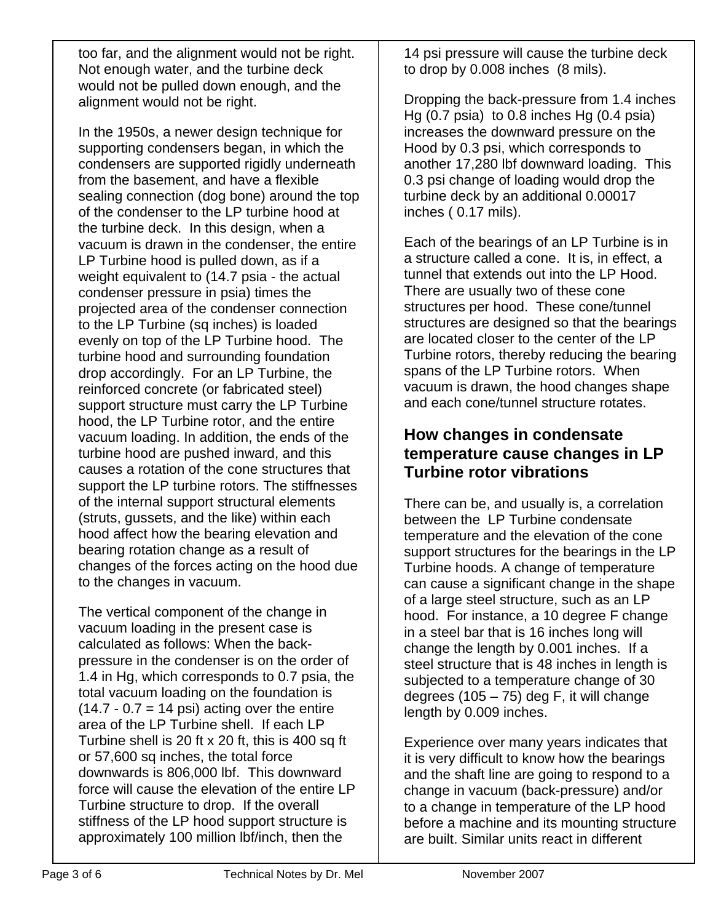too far, and the alignment would not be right. Not enough water, and the turbine deck would not be pulled down enough, and the alignment would not be right.

In the 1950s, a newer design technique for supporting condensers began, in which the condensers are supported rigidly underneath from the basement, and have a flexible sealing connection (dog bone) around the top of the condenser to the LP turbine hood at the turbine deck. In this design, when a vacuum is drawn in the condenser, the entire LP Turbine hood is pulled down, as if a weight equivalent to (14.7 psia - the actual condenser pressure in psia) times the projected area of the condenser connection to the LP Turbine (sq inches) is loaded evenly on top of the LP Turbine hood. The turbine hood and surrounding foundation drop accordingly. For an LP Turbine, the reinforced concrete (or fabricated steel) support structure must carry the LP Turbine hood, the LP Turbine rotor, and the entire vacuum loading. In addition, the ends of the turbine hood are pushed inward, and this causes a rotation of the cone structures that support the LP turbine rotors. The stiffnesses of the internal support structural elements (struts, gussets, and the like) within each hood affect how the bearing elevation and bearing rotation change as a result of changes of the forces acting on the hood due to the changes in vacuum.

The vertical component of the change in vacuum loading in the present case is calculated as follows: When the backpressure in the condenser is on the order of 1.4 in Hg, which corresponds to 0.7 psia, the total vacuum loading on the foundation is  $(14.7 - 0.7 = 14 \text{ psi})$  acting over the entire area of the LP Turbine shell. If each LP Turbine shell is 20 ft x 20 ft, this is 400 sq ft or 57,600 sq inches, the total force downwards is 806,000 lbf. This downward force will cause the elevation of the entire LP Turbine structure to drop. If the overall stiffness of the LP hood support structure is approximately 100 million lbf/inch, then the

14 psi pressure will cause the turbine deck to drop by 0.008 inches (8 mils).

Dropping the back-pressure from 1.4 inches Hg (0.7 psia) to 0.8 inches Hg (0.4 psia) increases the downward pressure on the Hood by 0.3 psi, which corresponds to another 17,280 lbf downward loading. This 0.3 psi change of loading would drop the turbine deck by an additional 0.00017 inches ( 0.17 mils).

Each of the bearings of an LP Turbine is in a structure called a cone. It is, in effect, a tunnel that extends out into the LP Hood. There are usually two of these cone structures per hood. These cone/tunnel structures are designed so that the bearings are located closer to the center of the LP Turbine rotors, thereby reducing the bearing spans of the LP Turbine rotors. When vacuum is drawn, the hood changes shape and each cone/tunnel structure rotates.

## **How changes in condensate temperature cause changes in LP Turbine rotor vibrations**

There can be, and usually is, a correlation between the LP Turbine condensate temperature and the elevation of the cone support structures for the bearings in the LP Turbine hoods. A change of temperature can cause a significant change in the shape of a large steel structure, such as an LP hood. For instance, a 10 degree F change in a steel bar that is 16 inches long will change the length by 0.001 inches. If a steel structure that is 48 inches in length is subjected to a temperature change of 30 degrees  $(105 - 75)$  deg F, it will change length by 0.009 inches.

Experience over many years indicates that it is very difficult to know how the bearings and the shaft line are going to respond to a change in vacuum (back-pressure) and/or to a change in temperature of the LP hood before a machine and its mounting structure are built. Similar units react in different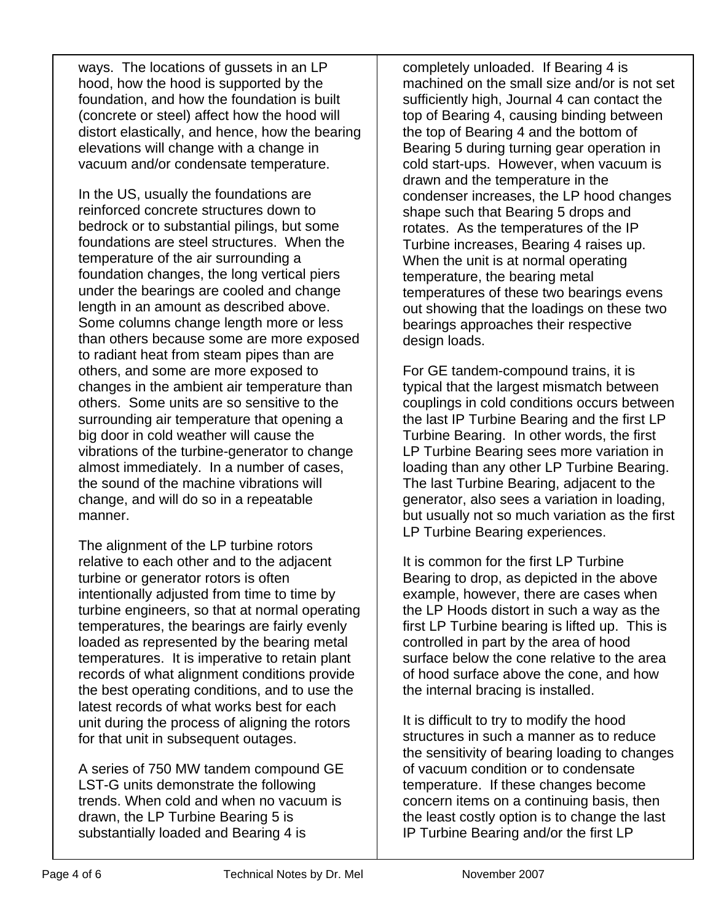ways. The locations of gussets in an LP hood, how the hood is supported by the foundation, and how the foundation is built (concrete or steel) affect how the hood will distort elastically, and hence, how the bearing elevations will change with a change in vacuum and/or condensate temperature.

In the US, usually the foundations are reinforced concrete structures down to bedrock or to substantial pilings, but some foundations are steel structures. When the temperature of the air surrounding a foundation changes, the long vertical piers under the bearings are cooled and change length in an amount as described above. Some columns change length more or less than others because some are more exposed to radiant heat from steam pipes than are others, and some are more exposed to changes in the ambient air temperature than others. Some units are so sensitive to the surrounding air temperature that opening a big door in cold weather will cause the vibrations of the turbine-generator to change almost immediately. In a number of cases, the sound of the machine vibrations will change, and will do so in a repeatable manner.

The alignment of the LP turbine rotors relative to each other and to the adjacent turbine or generator rotors is often intentionally adjusted from time to time by turbine engineers, so that at normal operating temperatures, the bearings are fairly evenly loaded as represented by the bearing metal temperatures. It is imperative to retain plant records of what alignment conditions provide the best operating conditions, and to use the latest records of what works best for each unit during the process of aligning the rotors for that unit in subsequent outages.

A series of 750 MW tandem compound GE LST-G units demonstrate the following trends. When cold and when no vacuum is drawn, the LP Turbine Bearing 5 is substantially loaded and Bearing 4 is

completely unloaded. If Bearing 4 is machined on the small size and/or is not set sufficiently high, Journal 4 can contact the top of Bearing 4, causing binding between the top of Bearing 4 and the bottom of Bearing 5 during turning gear operation in cold start-ups. However, when vacuum is drawn and the temperature in the condenser increases, the LP hood changes shape such that Bearing 5 drops and rotates. As the temperatures of the IP Turbine increases, Bearing 4 raises up. When the unit is at normal operating temperature, the bearing metal temperatures of these two bearings evens out showing that the loadings on these two bearings approaches their respective design loads.

For GE tandem-compound trains, it is typical that the largest mismatch between couplings in cold conditions occurs between the last IP Turbine Bearing and the first LP Turbine Bearing. In other words, the first LP Turbine Bearing sees more variation in loading than any other LP Turbine Bearing. The last Turbine Bearing, adjacent to the generator, also sees a variation in loading, but usually not so much variation as the first LP Turbine Bearing experiences.

It is common for the first LP Turbine Bearing to drop, as depicted in the above example, however, there are cases when the LP Hoods distort in such a way as the first LP Turbine bearing is lifted up. This is controlled in part by the area of hood surface below the cone relative to the area of hood surface above the cone, and how the internal bracing is installed.

It is difficult to try to modify the hood structures in such a manner as to reduce the sensitivity of bearing loading to changes of vacuum condition or to condensate temperature. If these changes become concern items on a continuing basis, then the least costly option is to change the last IP Turbine Bearing and/or the first LP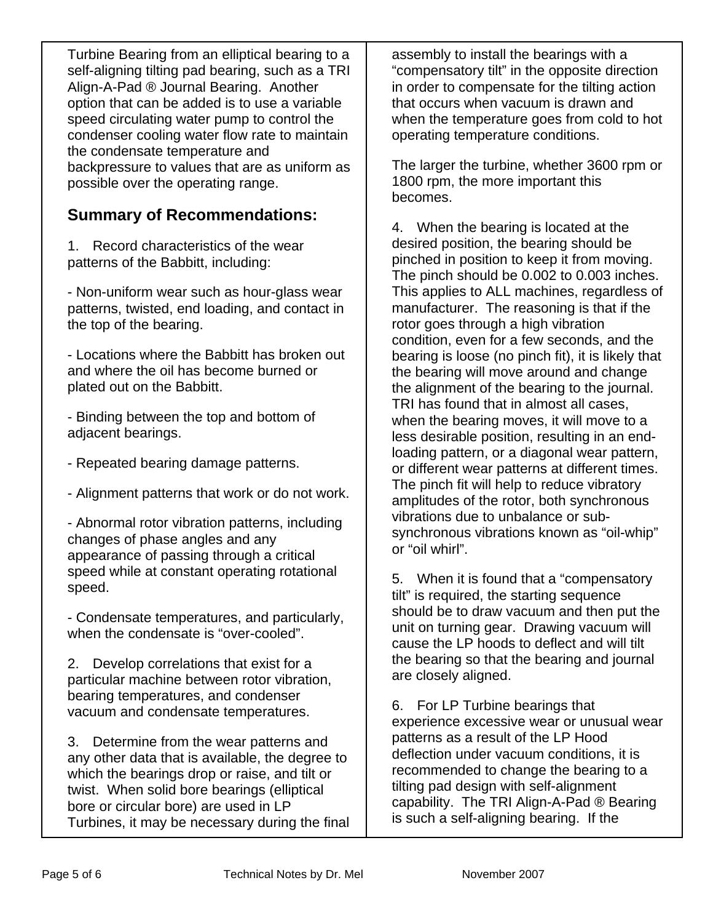Turbine Bearing from an elliptical bearing to a self-aligning tilting pad bearing, such as a TRI Align-A-Pad ® Journal Bearing. Another option that can be added is to use a variable speed circulating water pump to control the condenser cooling water flow rate to maintain the condensate temperature and backpressure to values that are as uniform as possible over the operating range.

## **Summary of Recommendations:**

1. Record characteristics of the wear patterns of the Babbitt, including:

- Non-uniform wear such as hour-glass wear patterns, twisted, end loading, and contact in the top of the bearing.

- Locations where the Babbitt has broken out and where the oil has become burned or plated out on the Babbitt.

- Binding between the top and bottom of adjacent bearings.

- Repeated bearing damage patterns.
- Alignment patterns that work or do not work.

- Abnormal rotor vibration patterns, including changes of phase angles and any appearance of passing through a critical speed while at constant operating rotational speed.

- Condensate temperatures, and particularly, when the condensate is "over-cooled".

2. Develop correlations that exist for a particular machine between rotor vibration, bearing temperatures, and condenser vacuum and condensate temperatures.

3. Determine from the wear patterns and any other data that is available, the degree to which the bearings drop or raise, and tilt or twist. When solid bore bearings (elliptical bore or circular bore) are used in LP Turbines, it may be necessary during the final assembly to install the bearings with a "compensatory tilt" in the opposite direction in order to compensate for the tilting action that occurs when vacuum is drawn and when the temperature goes from cold to hot operating temperature conditions.

The larger the turbine, whether 3600 rpm or 1800 rpm, the more important this becomes.

4. When the bearing is located at the desired position, the bearing should be pinched in position to keep it from moving. The pinch should be 0.002 to 0.003 inches. This applies to ALL machines, regardless of manufacturer. The reasoning is that if the rotor goes through a high vibration condition, even for a few seconds, and the bearing is loose (no pinch fit), it is likely that the bearing will move around and change the alignment of the bearing to the journal. TRI has found that in almost all cases, when the bearing moves, it will move to a less desirable position, resulting in an endloading pattern, or a diagonal wear pattern, or different wear patterns at different times. The pinch fit will help to reduce vibratory amplitudes of the rotor, both synchronous vibrations due to unbalance or subsynchronous vibrations known as "oil-whip" or "oil whirl".

5. When it is found that a "compensatory tilt" is required, the starting sequence should be to draw vacuum and then put the unit on turning gear. Drawing vacuum will cause the LP hoods to deflect and will tilt the bearing so that the bearing and journal are closely aligned.

6. For LP Turbine bearings that experience excessive wear or unusual wear patterns as a result of the LP Hood deflection under vacuum conditions, it is recommended to change the bearing to a tilting pad design with self-alignment capability. The TRI Align-A-Pad ® Bearing is such a self-aligning bearing. If the